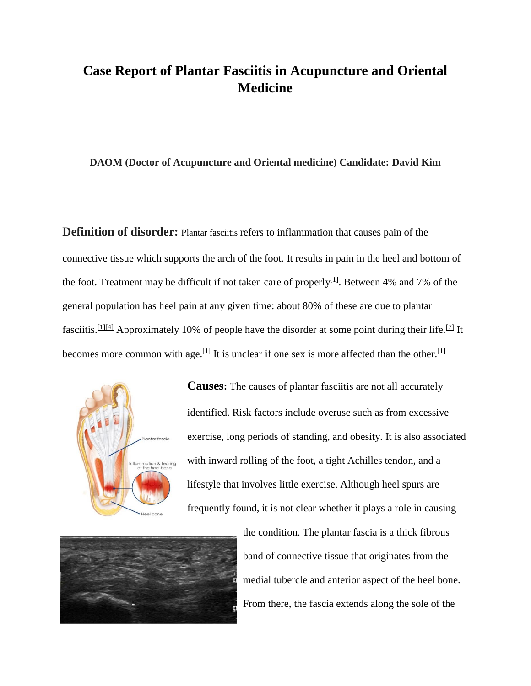# **Case Report of Plantar Fasciitis in Acupuncture and Oriental Medicine**

#### **DAOM (Doctor of Acupuncture and Oriental medicine) Candidate: David Kim**

**Definition of disorder:** Plantar fasciitis refers to inflammation that causes pain of the connective tissue which supports the arch of the foot. It results in pain in the heel and bottom of the foot. Treatment may be difficult if not taken care of properly<sup>[\[1\]](https://en.wikipedia.org/wiki/Plantar_fasciitis#cite_note-Bee2014-1)</sup>. Between 4% and 7% of the general population has heel pain at any given time: about 80% of these are due to plantar fasciitis.<sup>[\[1\]\[4\]](https://en.wikipedia.org/wiki/Plantar_fasciitis#cite_note-Bee2014-1)</sup> Approximately 10% of people have the disorder at some point during their life.<sup>[\[7\]](https://en.wikipedia.org/wiki/Plantar_fasciitis#cite_note-Zhiyun2013-8)</sup> It becomes more common with age.<sup>[\[1\]](https://en.wikipedia.org/wiki/Plantar_fasciitis#cite_note-Bee2014-1)</sup> It is unclear if one sex is more affected than the other.<sup>[1]</sup>



**Causes:** The causes of plantar fasciitis are not all accurately identified. Risk factors include overuse such as from excessive exercise, long periods of standing, and obesity. It is also associated with inward rolling of the foot, a tight Achilles tendon, and a lifestyle that involves little exercise. Although heel spurs are frequently found, it is not clear whether it plays a role in causing



the condition. The plantar fascia is a [thick fibrous](https://en.wikipedia.org/wiki/Aponeurosis)  band of [connective tissue](https://en.wikipedia.org/wiki/Aponeurosis) that originates from the [medial tubercle](https://en.wikipedia.org/wiki/Tubercle_(anatomy)) and anterior aspect of the [heel bone.](https://en.wikipedia.org/wiki/Calcaneus) From there, the fascia extends along the [sole of the](https://en.wikipedia.org/wiki/Sole_(foot))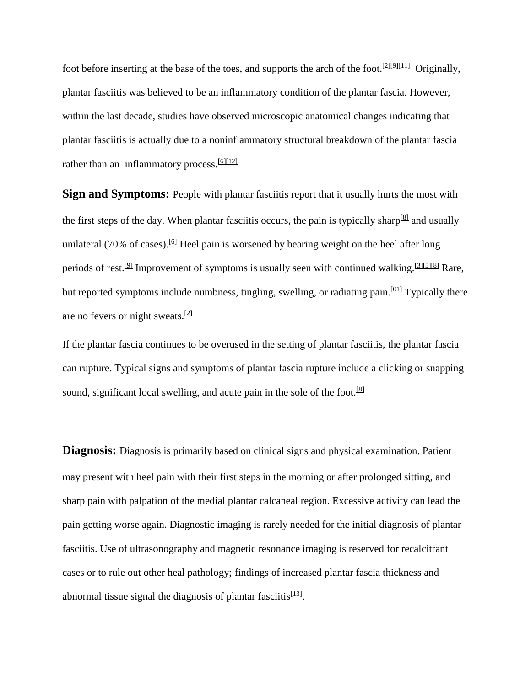[foot](https://en.wikipedia.org/wiki/Sole_(foot)) before inserting at the base of the [toes,](https://en.wikipedia.org/wiki/Toe) and supports the [arch of the foot.](https://en.wikipedia.org/wiki/Arches_of_the_foot)  $[2][9][11]$  $[2][9][11]$  Originally, plantar fasciitis was believed to be an inflammatory condition of the plantar fascia. However, within the last decade, studies have observed [microscopic anatomical](https://en.wikipedia.org/wiki/Histology) changes indicating that plantar fasciitis is actually due to a noninflammatory structural breakdown of the plantar fascia rather than an inflammatory process.  $[6][12]$ 

**Sign and Symptoms:** People with plantar fasciitis report that it usually hurts the most with the first steps of the day. When plantar fasciitis occurs, the pain is typically sharp<sup>[\[8\]](https://en.wikipedia.org/wiki/Plantar_fasciitis#cite_note-Jeswani2009-9)</sup> and usually unilateral (70% of cases).<sup>[\[6\]](https://en.wikipedia.org/wiki/Plantar_fasciitis#cite_note-Tahririan2012-6)</sup> Heel pain is worsened by bearing weight on the heel after long periods of rest.<sup>[\[9\]](https://en.wikipedia.org/wiki/Plantar_fasciitis#cite_note-Molloy2012-10)</sup> Improvement of symptoms is usually seen with continued walking.<sup>[\[3\]\[5\]](https://en.wikipedia.org/wiki/Plantar_fasciitis#cite_note-Goff2011-3)[\[8\]](https://en.wikipedia.org/wiki/Plantar_fasciitis#cite_note-Jeswani2009-9)</sup> Rare, but reported symptoms include [numbness,](https://en.wikipedia.org/wiki/Hypoesthesia) [tingling,](https://en.wikipedia.org/wiki/Paresthesia) [swelling,](https://en.wikipedia.org/wiki/Edema) or radiating pain.<sup>[\[01\]](https://en.wikipedia.org/wiki/Plantar_fasciitis#cite_note-Monto2013-11)</sup> Typically there are no [fevers](https://en.wikipedia.org/wiki/Fever) or night sweats.[\[2\]](https://en.wikipedia.org/wiki/Plantar_fasciitis#cite_note-Rosenbaum2014-2)

If the [plantar fascia](https://en.wikipedia.org/wiki/Plantar_fascia) continues to be overused in the setting of plantar fasciitis, the plantar fascia can rupture. Typical signs and symptoms of plantar fascia rupture include a clicking or snapping sound, significant local swelling, and acute pain in the sole of the foot.<sup>[\[8\]](https://en.wikipedia.org/wiki/Plantar_fasciitis#cite_note-Jeswani2009-9)</sup>

**Diagnosis:** Diagnosis is primarily based on clinical signs and physical examination. Patient may present with heel pain with their first steps in the morning or after prolonged sitting, and sharp pain with palpation of the medial plantar calcaneal region. Excessive activity can lead the pain getting worse again. Diagnostic imaging is rarely needed for the initial diagnosis of plantar fasciitis. Use of ultrasonography and magnetic resonance imaging is reserved for recalcitrant cases or to rule out other heal pathology; findings of increased plantar fascia thickness and abnormal tissue signal the diagnosis of plantar fasciitis $^{[13]}$ .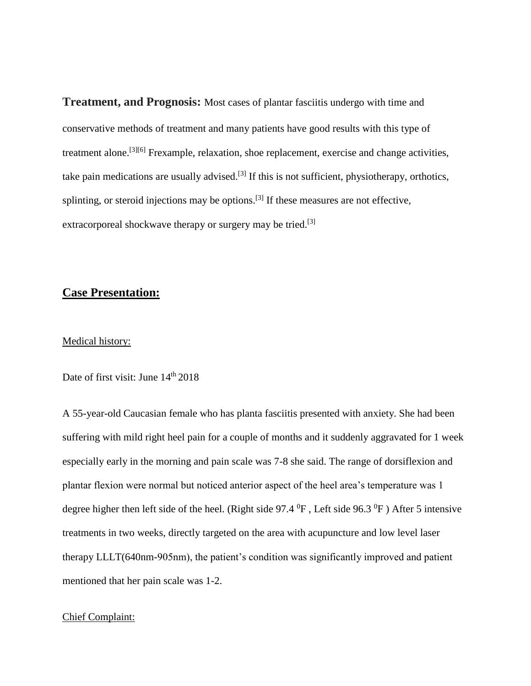**Treatment, and Prognosis:** Most cases of plantar fasciitis undergo with time and conservative methods of treatment and many patients have good results with this type of treatment alone.[\[3\]\[6\]](https://en.wikipedia.org/wiki/Plantar_fasciitis#cite_note-Goff2011-3) Frexample, relaxation, shoe replacement, exercise and change activities, take pain medications are usually advised.<sup>[\[3\]](https://en.wikipedia.org/wiki/Plantar_fasciitis#cite_note-Goff2011-3)</sup> If this is not sufficient, [physiotherapy,](https://en.wikipedia.org/wiki/Physiotherapy) [orthotics,](https://en.wikipedia.org/wiki/Orthotics) [splinting,](https://en.wikipedia.org/wiki/Splint_(medicine)) or [steroid injections](https://en.wikipedia.org/wiki/Corticosteroid) may be options.<sup>[\[3\]](https://en.wikipedia.org/wiki/Plantar_fasciitis#cite_note-Goff2011-3)</sup> If these measures are not effective, [extracorporeal shockwave therapy](https://en.wikipedia.org/wiki/Extracorporeal_shockwave_therapy) or surgery may be tried.<sup>[\[3\]](https://en.wikipedia.org/wiki/Plantar_fasciitis#cite_note-Goff2011-3)</sup>

## **Case Presentation:**

#### Medical history:

Date of first visit: June  $14<sup>th</sup> 2018$ 

A 55-year-old Caucasian female who has planta fasciitis presented with anxiety. She had been suffering with mild right heel pain for a couple of months and it suddenly aggravated for 1 week especially early in the morning and pain scale was 7-8 she said. The range of dorsiflexion and plantar flexion were normal but noticed anterior aspect of the heel area's temperature was 1 degree higher then left side of the heel. (Right side 97.4  $^{0}$ F, Left side 96.3  $^{0}$ F) After 5 intensive treatments in two weeks, directly targeted on the area with acupuncture and low level laser therapy LLLT(640nm-905nm), the patient's condition was significantly improved and patient mentioned that her pain scale was 1-2.

#### Chief Complaint: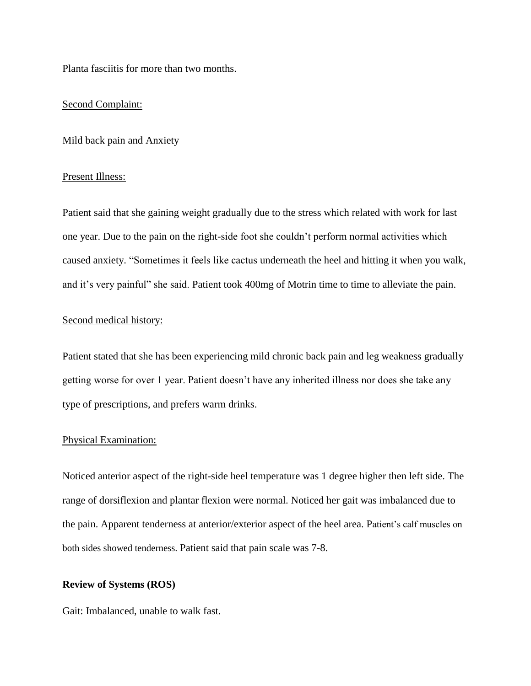Planta fasciitis for more than two months.

### Second Complaint:

Mild back pain and Anxiety

#### Present Illness:

Patient said that she gaining weight gradually due to the stress which related with work for last one year. Due to the pain on the right-side foot she couldn't perform normal activities which caused anxiety. "Sometimes it feels like cactus underneath the heel and hitting it when you walk, and it's very painful" she said. Patient took 400mg of Motrin time to time to alleviate the pain.

## Second medical history:

Patient stated that she has been experiencing mild chronic back pain and leg weakness gradually getting worse for over 1 year. Patient doesn't have any inherited illness nor does she take any type of prescriptions, and prefers warm drinks.

#### Physical Examination:

Noticed anterior aspect of the right-side heel temperature was 1 degree higher then left side. The range of dorsiflexion and plantar flexion were normal. Noticed her gait was imbalanced due to the pain. Apparent tenderness at anterior/exterior aspect of the heel area. Patient's calf muscles on both sides showed tenderness. Patient said that pain scale was 7-8.

#### **Review of Systems (ROS)**

Gait: Imbalanced, unable to walk fast.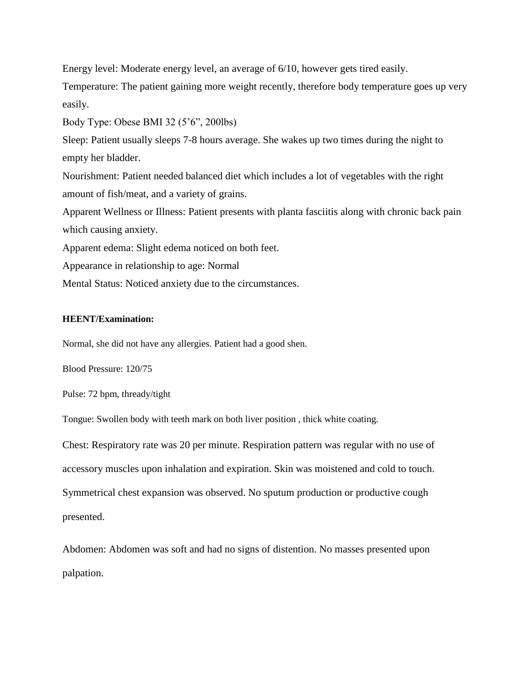Energy level: Moderate energy level, an average of 6/10, however gets tired easily.

Temperature: The patient gaining more weight recently, therefore body temperature goes up very easily.

Body Type: Obese BMI 32 (5'6", 200lbs)

Sleep: Patient usually sleeps 7-8 hours average. She wakes up two times during the night to empty her bladder.

Nourishment: Patient needed balanced diet which includes a lot of vegetables with the right amount of fish/meat, and a variety of grains.

Apparent Wellness or Illness: Patient presents with planta fasciitis along with chronic back pain which causing anxiety.

Apparent edema: Slight edema noticed on both feet.

Appearance in relationship to age: Normal

Mental Status: Noticed anxiety due to the circumstances.

## **HEENT/Examination:**

Normal, she did not have any allergies. Patient had a good shen.

Blood Pressure: 120/75

Pulse: 72 bpm, thready/tight

Tongue: Swollen body with teeth mark on both liver position , thick white coating.

Chest: Respiratory rate was 20 per minute. Respiration pattern was regular with no use of accessory muscles upon inhalation and expiration. Skin was moistened and cold to touch. Symmetrical chest expansion was observed. No sputum production or productive cough presented.

Abdomen: Abdomen was soft and had no signs of distention. No masses presented upon palpation.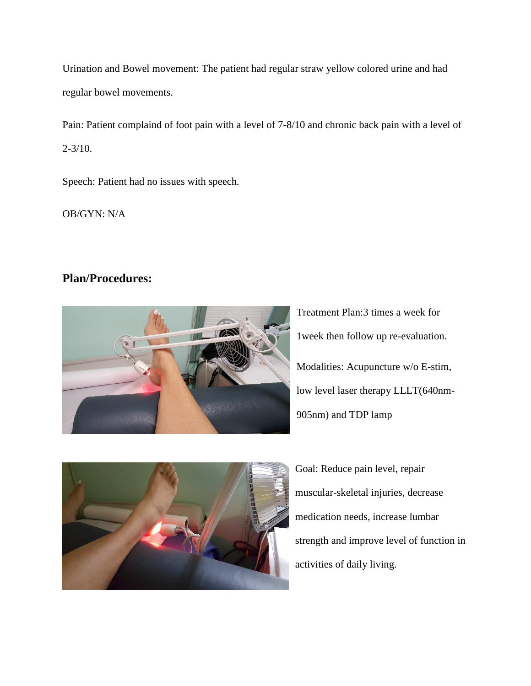Urination and Bowel movement: The patient had regular straw yellow colored urine and had regular bowel movements.

Pain: Patient complaind of foot pain with a level of 7-8/10 and chronic back pain with a level of  $2 - 3/10$ .

Speech: Patient had no issues with speech.

OB/GYN: N/A

# **Plan/Procedures:**



Treatment Plan:3 times a week for 1week then follow up re-evaluation. Modalities: Acupuncture w/o E-stim, low level laser therapy LLLT(640nm-905nm) and TDP lamp



Goal: Reduce pain level, repair muscular-skeletal injuries, decrease medication needs, increase lumbar strength and improve level of function in activities of daily living.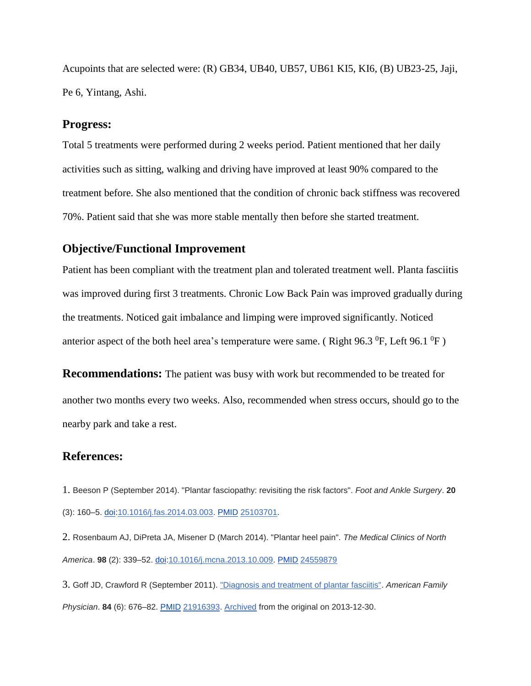Acupoints that are selected were: (R) GB34, UB40, UB57, UB61 KI5, KI6, (B) UB23-25, Jaji, Pe 6, Yintang, Ashi.

## **Progress:**

Total 5 treatments were performed during 2 weeks period. Patient mentioned that her daily activities such as sitting, walking and driving have improved at least 90% compared to the treatment before. She also mentioned that the condition of chronic back stiffness was recovered 70%. Patient said that she was more stable mentally then before she started treatment.

## **Objective/Functional Improvement**

Patient has been compliant with the treatment plan and tolerated treatment well. Planta fasciitis was improved during first 3 treatments. Chronic Low Back Pain was improved gradually during the treatments. Noticed gait imbalance and limping were improved significantly. Noticed anterior aspect of the both heel area's temperature were same. (Right 96.3  $^{0}$ F, Left 96.1  $^{0}$ F)

**Recommendations:** The patient was busy with work but recommended to be treated for another two months every two weeks. Also, recommended when stress occurs, should go to the nearby park and take a rest.

## **References:**

1. Beeson P (September 2014). "Plantar fasciopathy: revisiting the risk factors". *Foot and Ankle Surgery*. **20** (3): 160–5. [doi:](https://en.wikipedia.org/wiki/Digital_object_identifier)[10.1016/j.fas.2014.03.003.](https://doi.org/10.1016/j.fas.2014.03.003) [PMID](https://en.wikipedia.org/wiki/PubMed_Identifier) [25103701.](https://www.ncbi.nlm.nih.gov/pubmed/25103701)

2. Rosenbaum AJ, DiPreta JA, Misener D (March 2014). "Plantar heel pain". *The Medical Clinics of North America*. **98** (2): 339–52. [doi](https://en.wikipedia.org/wiki/Digital_object_identifier)[:10.1016/j.mcna.2013.10.009.](https://doi.org/10.1016/j.mcna.2013.10.009) [PMID](https://en.wikipedia.org/wiki/PubMed_Identifier) [24559879](https://www.ncbi.nlm.nih.gov/pubmed/24559879)

3. Goff JD, Crawford R (September 2011). ["Diagnosis and treatment of plantar fasciitis".](http://www.aafp.org/afp/2011/0915/p676.html) *American Family Physician*. **84** (6): 676–82. [PMID](https://en.wikipedia.org/wiki/PubMed_Identifier) [21916393.](https://www.ncbi.nlm.nih.gov/pubmed/21916393) [Archived](https://web.archive.org/web/20131230235718/http:/www.aafp.org/afp/2011/0915/p676.html) from the original on 2013-12-30.